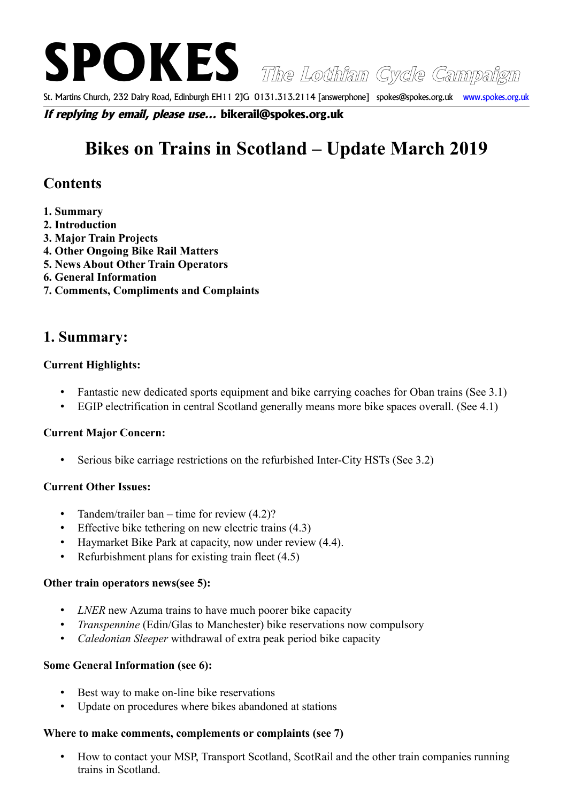**SPOKES The Lothian Cycle Campaign**

St. Martins Church, 232 Dalry Road, Edinburgh EH11 2JG 0131.313.2114 [answerphone] spokes@spokes.org.uk www.spokes.org.uk

**If replying by email, please use... bikerail@spokes.org.uk**

# **Bikes on Trains in Scotland – Update March 2019**

# **Contents**

- **1. Summary**
- **2. Introduction**
- **3. Major Train Projects**
- **4. Other Ongoing Bike Rail Matters**
- **5. News About Other Train Operators**
- **6. General Information**
- **7. Comments, Compliments and Complaints**

# **1. Summary:**

## **Current Highlights:**

- Fantastic new dedicated sports equipment and bike carrying coaches for Oban trains (See 3.1)
- EGIP electrification in central Scotland generally means more bike spaces overall. (See 4.1)

# **Current Major Concern:**

• Serious bike carriage restrictions on the refurbished Inter-City HSTs (See 3.2)

# **Current Other Issues:**

- Tandem/trailer ban time for review (4.2)?
- Effective bike tethering on new electric trains (4.3)
- Haymarket Bike Park at capacity, now under review (4.4).
- Refurbishment plans for existing train fleet (4.5)

#### **Other train operators news(see 5):**

- *LNER* new Azuma trains to have much poorer bike capacity
- *Transpennine* (Edin/Glas to Manchester) bike reservations now compulsory
- *Caledonian Sleeper* withdrawal of extra peak period bike capacity

#### **Some General Information (see 6):**

- Best way to make on-line bike reservations
- Update on procedures where bikes abandoned at stations

# **Where to make comments, complements or complaints (see 7)**

• How to contact your MSP, Transport Scotland, ScotRail and the other train companies running trains in Scotland.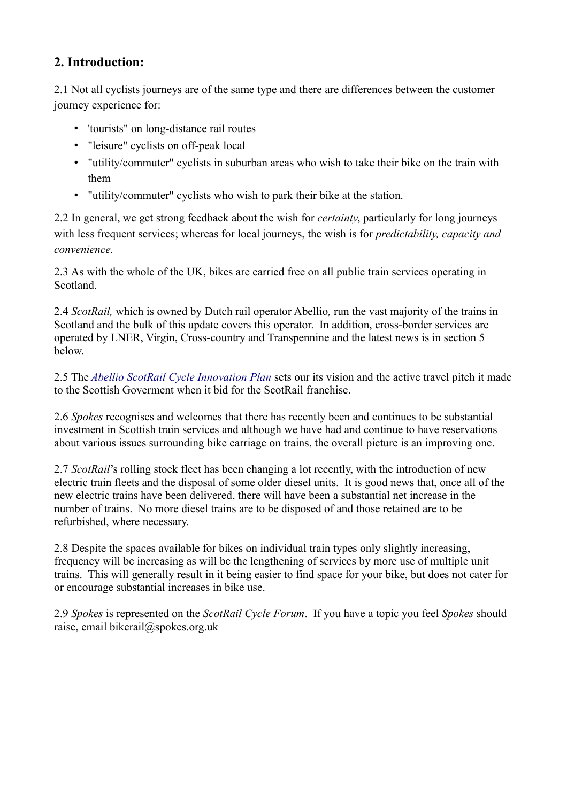# **2. Introduction:**

2.1 Not all cyclists journeys are of the same type and there are differences between the customer journey experience for:

- 'tourists" on long-distance rail routes
- "leisure" cyclists on off-peak local
- "utility/commuter" cyclists in suburban areas who wish to take their bike on the train with them
- "utility/commuter" cyclists who wish to park their bike at the station.

2.2 In general, we get strong feedback about the wish for *certainty*, particularly for long journeys with less frequent services; whereas for local journeys, the wish is for *predictability, capacity and convenience.*

2.3 As with the whole of the UK, bikes are carried free on all public train services operating in Scotland.

2.4 *ScotRail,* which is owned by Dutch rail operator Abellio*,* run the vast majority of the trains in Scotland and the bulk of this update covers this operator. In addition, cross-border services are operated by LNER, Virgin, Cross-country and Transpennine and the latest news is in section 5 below.

2.5 The *[Abellio ScotRail Cycle Innovation Plan](http://www.parliament.scot/S4_InfrastructureandCapitalInvestmentCommittee/Inquiries/Abellio_ScotRail_Cycle_Innovation_Plan.pdf)* sets our its vision and the active travel pitch it made to the Scottish Goverment when it bid for the ScotRail franchise.

2.6 *Spokes* recognises and welcomes that there has recently been and continues to be substantial investment in Scottish train services and although we have had and continue to have reservations about various issues surrounding bike carriage on trains, the overall picture is an improving one.

2.7 *ScotRail*'s rolling stock fleet has been changing a lot recently, with the introduction of new electric train fleets and the disposal of some older diesel units. It is good news that, once all of the new electric trains have been delivered, there will have been a substantial net increase in the number of trains. No more diesel trains are to be disposed of and those retained are to be refurbished, where necessary.

2.8 Despite the spaces available for bikes on individual train types only slightly increasing, frequency will be increasing as will be the lengthening of services by more use of multiple unit trains. This will generally result in it being easier to find space for your bike, but does not cater for or encourage substantial increases in bike use.

2.9 *Spokes* is represented on the *ScotRail Cycle Forum*. If you have a topic you feel *Spokes* should raise, email bikerail@spokes.org.uk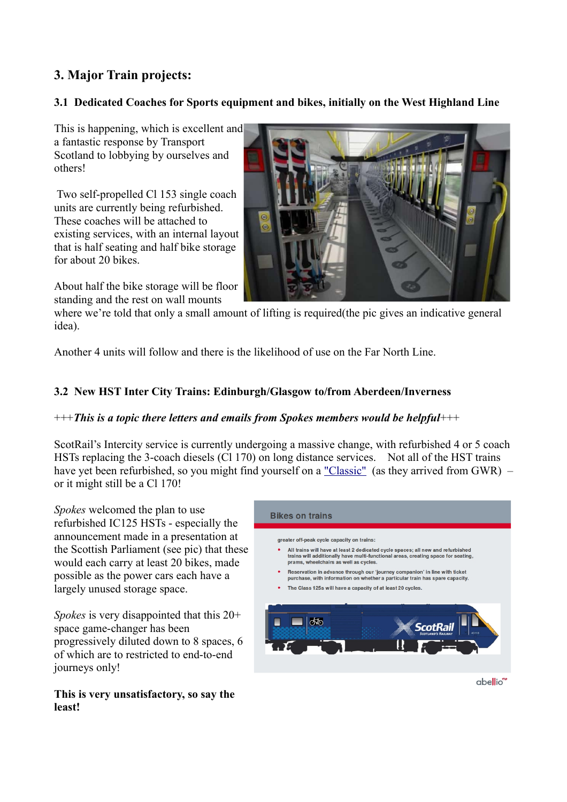# **3. Major Train projects:**

# **3.1 Dedicated Coaches for Sports equipment and bikes, initially on the West Highland Line**

This is happening, which is excellent and a fantastic response by Transport Scotland to lobbying by ourselves and others!

 Two self-propelled Cl 153 single coach units are currently being refurbished. These coaches will be attached to existing services, with an internal layout that is half seating and half bike storage for about 20 bikes.

About half the bike storage will be floor standing and the rest on wall mounts



where we're told that only a small amount of lifting is required(the pic gives an indicative general idea).

Another 4 units will follow and there is the likelihood of use on the Far North Line.

# **3.2 New HST Inter City Trains: Edinburgh/Glasgow to/from Aberdeen/Inverness**

#### +++*This is a topic there letters and emails from Spokes members would be helpful*+++

ScotRail's Intercity service is currently undergoing a massive change, with refurbished 4 or 5 coach HSTs replacing the 3-coach diesels (Cl 170) on long distance services. Not all of the HST trains have yet been refurbished, so you might find yourself on a ["Classic"](https://www.scotrail.co.uk/travelling-classic-intercity-trains) (as they arrived from GWR) – or it might still be a Cl 170!

*Spokes* welcomed the plan to use refurbished IC125 HSTs - especially the announcement made in a presentation at the Scottish Parliament (see pic) that these would each carry at least 20 bikes, made possible as the power cars each have a largely unused storage space.

*Spokes* is very disappointed that this 20+ space game-changer has been progressively diluted down to 8 spaces, 6 of which are to restricted to end-to-end journeys only!

#### **This is very unsatisfactory, so say the least!**

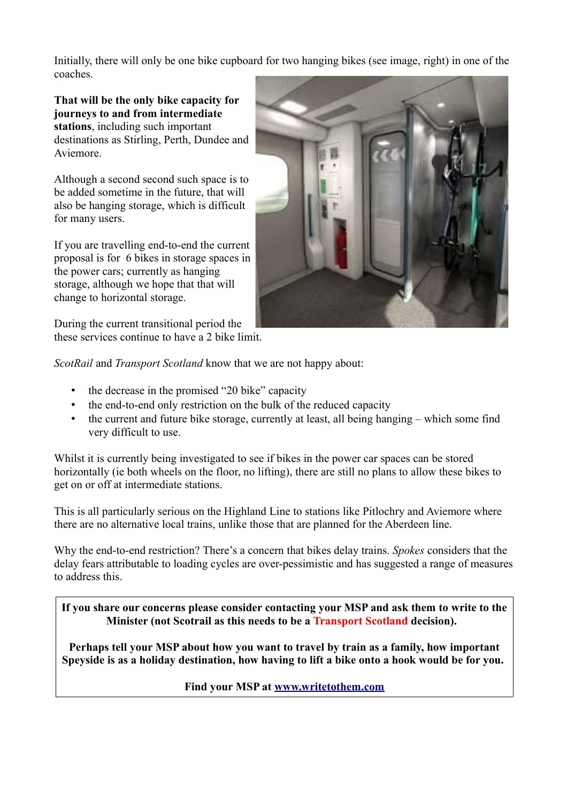Initially, there will only be one bike cupboard for two hanging bikes (see image, right) in one of the coaches.

**That will be the only bike capacity for journeys to and from intermediate stations**, including such important destinations as Stirling, Perth, Dundee and Aviemore.

Although a second second such space is to be added sometime in the future, that will also be hanging storage, which is difficult for many users.

If you are travelling end-to-end the current proposal is for 6 bikes in storage spaces in the power cars; currently as hanging storage, although we hope that that will change to horizontal storage.

During the current transitional period the these services continue to have a 2 bike limit.



*ScotRail* and *Transport Scotland* know that we are not happy about:

- the decrease in the promised "20 bike" capacity
- the end-to-end only restriction on the bulk of the reduced capacity
- the current and future bike storage, currently at least, all being hanging which some find very difficult to use.

Whilst it is currently being investigated to see if bikes in the power car spaces can be stored horizontally (ie both wheels on the floor, no lifting), there are still no plans to allow these bikes to get on or off at intermediate stations.

This is all particularly serious on the Highland Line to stations like Pitlochry and Aviemore where there are no alternative local trains, unlike those that are planned for the Aberdeen line.

Why the end-to-end restriction? There's a concern that bikes delay trains. *Spokes* considers that the delay fears attributable to loading cycles are over-pessimistic and has suggested a range of measures to address this.

**If you share our concerns please consider contacting your MSP and ask them to write to the Minister (not Scotrail as this needs to be a Transport Scotland decision).** 

**Perhaps tell your MSP about how you want to travel by train as a family, how important Speyside is as a holiday destination, how having to lift a bike onto a hook would be for you.** 

**Find your MSP at [www.writetothem.com](https://www.writetothem.com/)**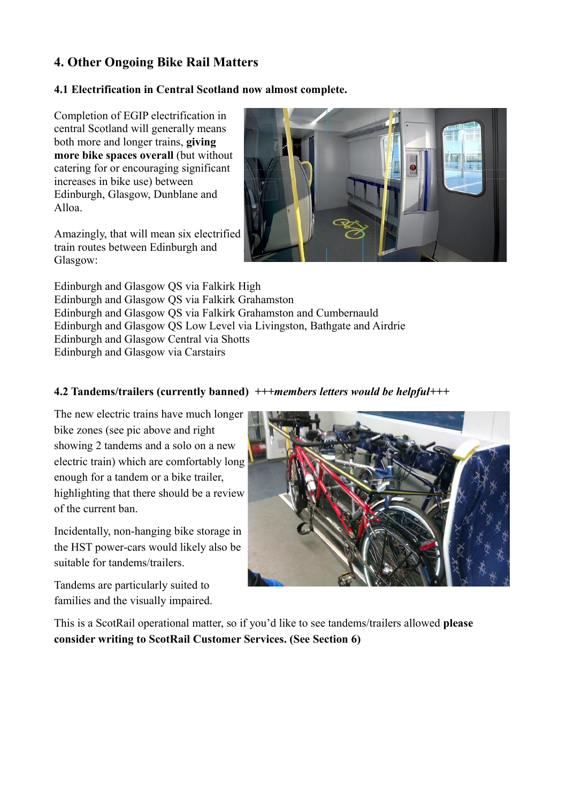# **4. Other Ongoing Bike Rail Matters**

#### **4.1 Electrification in Central Scotland now almost complete.**

Completion of EGIP electrification in central Scotland will generally means both more and longer trains, **giving more bike spaces overall** (but without catering for or encouraging significant increases in bike use) between Edinburgh, Glasgow, Dunblane and Alloa.

Amazingly, that will mean six electrified train routes between Edinburgh and Glasgow:



Edinburgh and Glasgow QS via Falkirk High Edinburgh and Glasgow QS via Falkirk Grahamston Edinburgh and Glasgow QS via Falkirk Grahamston and Cumbernauld Edinburgh and Glasgow QS Low Level via Livingston, Bathgate and Airdrie Edinburgh and Glasgow Central via Shotts Edinburgh and Glasgow via Carstairs

## **4.2 Tandems/trailers (currently banned)** *+++members letters would be helpful+++*

The new electric trains have much longer bike zones (see pic above and right showing 2 tandems and a solo on a new electric train) which are comfortably long enough for a tandem or a bike trailer, highlighting that there should be a review of the current ban.

Incidentally, non-hanging bike storage in the HST power-cars would likely also be suitable for tandems/trailers.

Tandems are particularly suited to families and the visually impaired.



This is a ScotRail operational matter, so if you'd like to see tandems/trailers allowed **please consider writing to ScotRail Customer Services. (See Section 6)**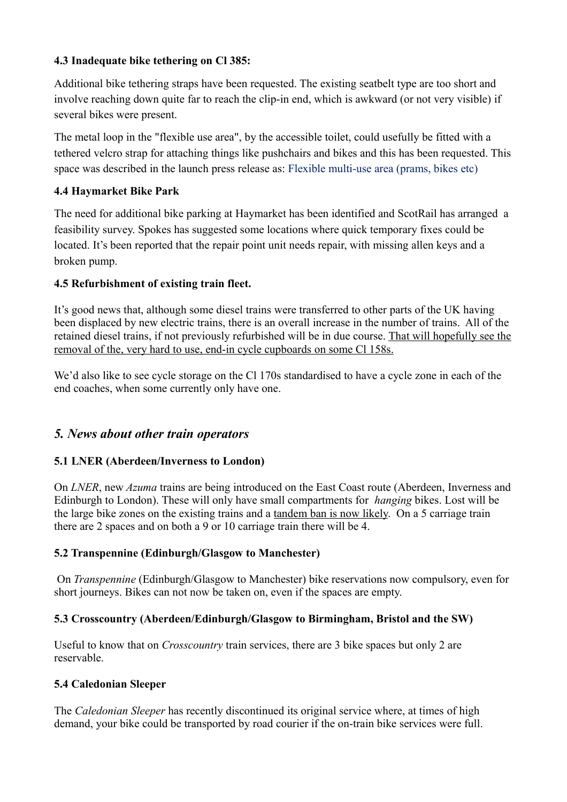## **4.3 Inadequate bike tethering on Cl 385:**

Additional bike tethering straps have been requested. The existing seatbelt type are too short and involve reaching down quite far to reach the clip-in end, which is awkward (or not very visible) if several bikes were present.

The metal loop in the "flexible use area", by the accessible toilet, could usefully be fitted with a tethered velcro strap for attaching things like pushchairs and bikes and this has been requested. This space was described in the launch press release as: Flexible multi-use area (prams, bikes etc)

# **4.4 Haymarket Bike Park**

The need for additional bike parking at Haymarket has been identified and ScotRail has arranged a feasibility survey. Spokes has suggested some locations where quick temporary fixes could be located. It's been reported that the repair point unit needs repair, with missing allen keys and a broken pump.

# **4.5 Refurbishment of existing train fleet.**

It's good news that, although some diesel trains were transferred to other parts of the UK having been displaced by new electric trains, there is an overall increase in the number of trains. All of the retained diesel trains, if not previously refurbished will be in due course. That will hopefully see the removal of the, very hard to use, end-in cycle cupboards on some Cl 158s.

We'd also like to see cycle storage on the Cl 170s standardised to have a cycle zone in each of the end coaches, when some currently only have one.

# *5. News about other train operators*

# **5.1 LNER (Aberdeen/Inverness to London)**

On *LNER*, new *Azuma* trains are being introduced on the East Coast route (Aberdeen, Inverness and Edinburgh to London). These will only have small compartments for *hanging* bikes. Lost will be the large bike zones on the existing trains and a tandem ban is now likely. On a 5 carriage train there are 2 spaces and on both a 9 or 10 carriage train there will be 4.

# **5.2 Transpennine (Edinburgh/Glasgow to Manchester)**

 On *Transpennine* (Edinburgh/Glasgow to Manchester) bike reservations now compulsory, even for short journeys. Bikes can not now be taken on, even if the spaces are empty.

# **5.3 Crosscountry (Aberdeen/Edinburgh/Glasgow to Birmingham, Bristol and the SW)**

Useful to know that on *Crosscountry* train services, there are 3 bike spaces but only 2 are reservable.

# **5.4 Caledonian Sleeper**

The *Caledonian Sleeper* has recently discontinued its original service where, at times of high demand, your bike could be transported by road courier if the on-train bike services were full.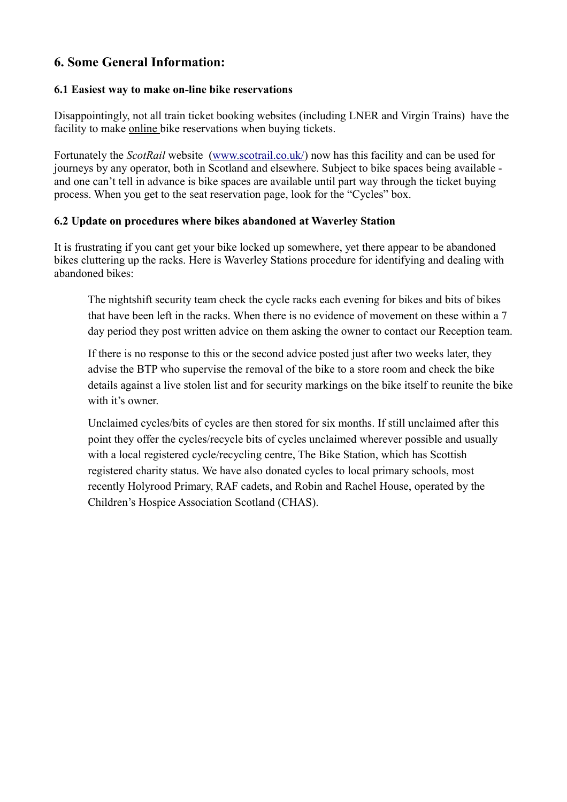# **6. Some General Information:**

#### **6.1 Easiest way to make on-line bike reservations**

Disappointingly, not all train ticket booking websites (including LNER and Virgin Trains) have the facility to make online bike reservations when buying tickets.

Fortunately the *ScotRail* website [\(www.scotrail.co.uk/\)](http://www.scotrail.co.uk/) now has this facility and can be used for journeys by any operator, both in Scotland and elsewhere. Subject to bike spaces being available and one can't tell in advance is bike spaces are available until part way through the ticket buying process. When you get to the seat reservation page, look for the "Cycles" box.

#### **6.2 Update on procedures where bikes abandoned at Waverley Station**

It is frustrating if you cant get your bike locked up somewhere, yet there appear to be abandoned bikes cluttering up the racks. Here is Waverley Stations procedure for identifying and dealing with abandoned bikes:

The nightshift security team check the cycle racks each evening for bikes and bits of bikes that have been left in the racks. When there is no evidence of movement on these within a 7 day period they post written advice on them asking the owner to contact our Reception team.

If there is no response to this or the second advice posted just after two weeks later, they advise the BTP who supervise the removal of the bike to a store room and check the bike details against a live stolen list and for security markings on the bike itself to reunite the bike with it's owner.

Unclaimed cycles/bits of cycles are then stored for six months. If still unclaimed after this point they offer the cycles/recycle bits of cycles unclaimed wherever possible and usually with a local registered cycle/recycling centre, The Bike Station, which has Scottish registered charity status. We have also donated cycles to local primary schools, most recently Holyrood Primary, RAF cadets, and Robin and Rachel House, operated by the Children's Hospice Association Scotland (CHAS).